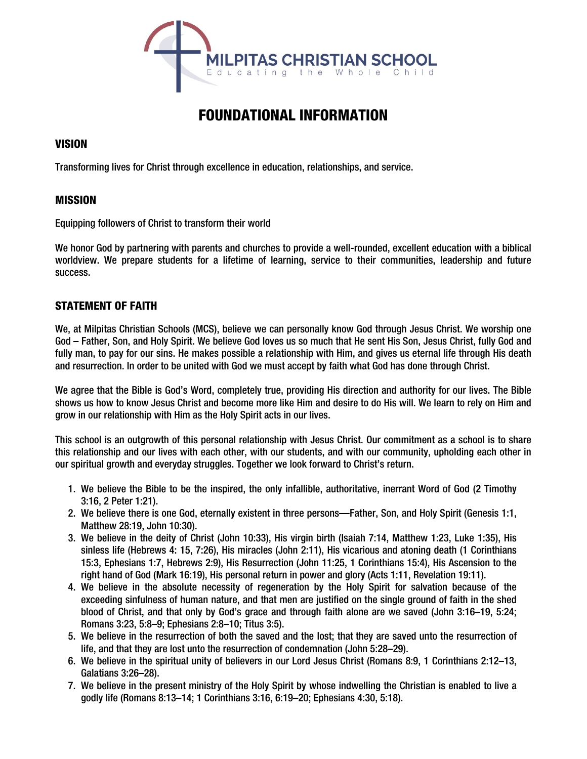

# FOUNDATIONAL INFORMATION

# **VISION**

Transforming lives for Christ through excellence in education, relationships, and service.

# MISSION

Equipping followers of Christ to transform their world

We honor God by partnering with parents and churches to provide a well-rounded, excellent education with a biblical worldview. We prepare students for a lifetime of learning, service to their communities, leadership and future success.

# STATEMENT OF FAITH

We, at Milpitas Christian Schools (MCS), believe we can personally know God through Jesus Christ. We worship one God – Father, Son, and Holy Spirit. We believe God loves us so much that He sent His Son, Jesus Christ, fully God and fully man, to pay for our sins. He makes possible a relationship with Him, and gives us eternal life through His death and resurrection. In order to be united with God we must accept by faith what God has done through Christ.

We agree that the Bible is God's Word, completely true, providing His direction and authority for our lives. The Bible shows us how to know Jesus Christ and become more like Him and desire to do His will. We learn to rely on Him and grow in our relationship with Him as the Holy Spirit acts in our lives.

This school is an outgrowth of this personal relationship with Jesus Christ. Our commitment as a school is to share this relationship and our lives with each other, with our students, and with our community, upholding each other in our spiritual growth and everyday struggles. Together we look forward to Christ's return.

- 1. We believe the Bible to be the inspired, the only infallible, authoritative, inerrant Word of God (2 Timothy 3:16, 2 Peter 1:21).
- 2. We believe there is one God, eternally existent in three persons—Father, Son, and Holy Spirit (Genesis 1:1, Matthew 28:19, John 10:30).
- 3. We believe in the deity of Christ (John 10:33), His virgin birth (Isaiah 7:14, Matthew 1:23, Luke 1:35), His sinless life (Hebrews 4: 15, 7:26), His miracles (John 2:11), His vicarious and atoning death (1 Corinthians 15:3, Ephesians 1:7, Hebrews 2:9), His Resurrection (John 11:25, 1 Corinthians 15:4), His Ascension to the right hand of God (Mark 16:19), His personal return in power and glory (Acts 1:11, Revelation 19:11).
- 4. We believe in the absolute necessity of regeneration by the Holy Spirit for salvation because of the exceeding sinfulness of human nature, and that men are justified on the single ground of faith in the shed blood of Christ, and that only by God's grace and through faith alone are we saved (John 3:16–19, 5:24; Romans 3:23, 5:8–9; Ephesians 2:8–10; Titus 3:5).
- 5. We believe in the resurrection of both the saved and the lost; that they are saved unto the resurrection of life, and that they are lost unto the resurrection of condemnation (John 5:28–29).
- 6. We believe in the spiritual unity of believers in our Lord Jesus Christ (Romans 8:9, 1 Corinthians 2:12–13, Galatians 3:26–28).
- 7. We believe in the present ministry of the Holy Spirit by whose indwelling the Christian is enabled to live a godly life (Romans 8:13–14; 1 Corinthians 3:16, 6:19–20; Ephesians 4:30, 5:18).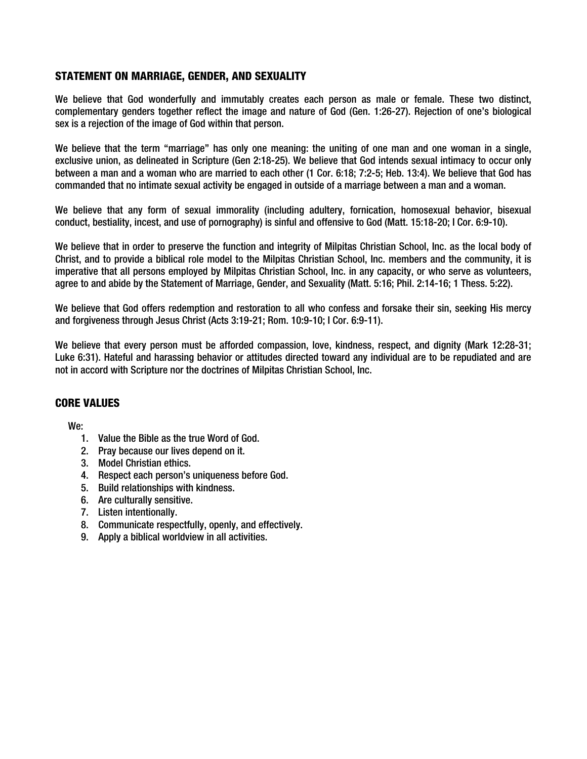### STATEMENT ON MARRIAGE, GENDER, AND SEXUALITY

We believe that God wonderfully and immutably creates each person as male or female. These two distinct, complementary genders together reflect the image and nature of God (Gen. 1:26-27). Rejection of one's biological sex is a rejection of the image of God within that person.

We believe that the term "marriage" has only one meaning: the uniting of one man and one woman in a single, exclusive union, as delineated in Scripture (Gen 2:18-25). We believe that God intends sexual intimacy to occur only between a man and a woman who are married to each other (1 Cor. 6:18; 7:2-5; Heb. 13:4). We believe that God has commanded that no intimate sexual activity be engaged in outside of a marriage between a man and a woman.

We believe that any form of sexual immorality (including adultery, fornication, homosexual behavior, bisexual conduct, bestiality, incest, and use of pornography) is sinful and offensive to God (Matt. 15:18-20; I Cor. 6:9-10).

We believe that in order to preserve the function and integrity of Milpitas Christian School, Inc. as the local body of Christ, and to provide a biblical role model to the Milpitas Christian School, Inc. members and the community, it is imperative that all persons employed by Milpitas Christian School, Inc. in any capacity, or who serve as volunteers, agree to and abide by the Statement of Marriage, Gender, and Sexuality (Matt. 5:16; Phil. 2:14-16; 1 Thess. 5:22).

We believe that God offers redemption and restoration to all who confess and forsake their sin, seeking His mercy and forgiveness through Jesus Christ (Acts 3:19-21; Rom. 10:9-10; I Cor. 6:9-11).

We believe that every person must be afforded compassion, love, kindness, respect, and dignity (Mark 12:28-31; Luke 6:31). Hateful and harassing behavior or attitudes directed toward any individual are to be repudiated and are not in accord with Scripture nor the doctrines of Milpitas Christian School, Inc.

## CORE VALUES

We:

- 1. Value the Bible as the true Word of God.
- 2. Pray because our lives depend on it.
- 3. Model Christian ethics.
- 4. Respect each person's uniqueness before God.
- 5. Build relationships with kindness.
- 6. Are culturally sensitive.
- 7. Listen intentionally.
- 8. Communicate respectfully, openly, and effectively.
- 9. Apply a biblical worldview in all activities.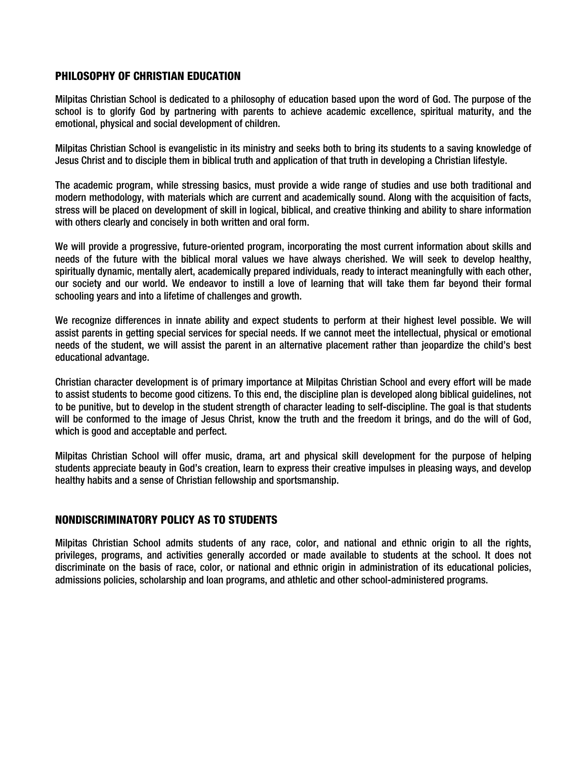#### PHILOSOPHY OF CHRISTIAN EDUCATION

Milpitas Christian School is dedicated to a philosophy of education based upon the word of God. The purpose of the school is to glorify God by partnering with parents to achieve academic excellence, spiritual maturity, and the emotional, physical and social development of children.

Milpitas Christian School is evangelistic in its ministry and seeks both to bring its students to a saving knowledge of Jesus Christ and to disciple them in biblical truth and application of that truth in developing a Christian lifestyle.

The academic program, while stressing basics, must provide a wide range of studies and use both traditional and modern methodology, with materials which are current and academically sound. Along with the acquisition of facts, stress will be placed on development of skill in logical, biblical, and creative thinking and ability to share information with others clearly and concisely in both written and oral form.

We will provide a progressive, future-oriented program, incorporating the most current information about skills and needs of the future with the biblical moral values we have always cherished. We will seek to develop healthy, spiritually dynamic, mentally alert, academically prepared individuals, ready to interact meaningfully with each other, our society and our world. We endeavor to instill a love of learning that will take them far beyond their formal schooling years and into a lifetime of challenges and growth.

We recognize differences in innate ability and expect students to perform at their highest level possible. We will assist parents in getting special services for special needs. If we cannot meet the intellectual, physical or emotional needs of the student, we will assist the parent in an alternative placement rather than jeopardize the child's best educational advantage.

Christian character development is of primary importance at Milpitas Christian School and every effort will be made to assist students to become good citizens. To this end, the discipline plan is developed along biblical guidelines, not to be punitive, but to develop in the student strength of character leading to self-discipline. The goal is that students will be conformed to the image of Jesus Christ, know the truth and the freedom it brings, and do the will of God, which is good and acceptable and perfect.

Milpitas Christian School will offer music, drama, art and physical skill development for the purpose of helping students appreciate beauty in God's creation, learn to express their creative impulses in pleasing ways, and develop healthy habits and a sense of Christian fellowship and sportsmanship.

## NONDISCRIMINATORY POLICY AS TO STUDENTS

Milpitas Christian School admits students of any race, color, and national and ethnic origin to all the rights, privileges, programs, and activities generally accorded or made available to students at the school. It does not discriminate on the basis of race, color, or national and ethnic origin in administration of its educational policies, admissions policies, scholarship and loan programs, and athletic and other school-administered programs.